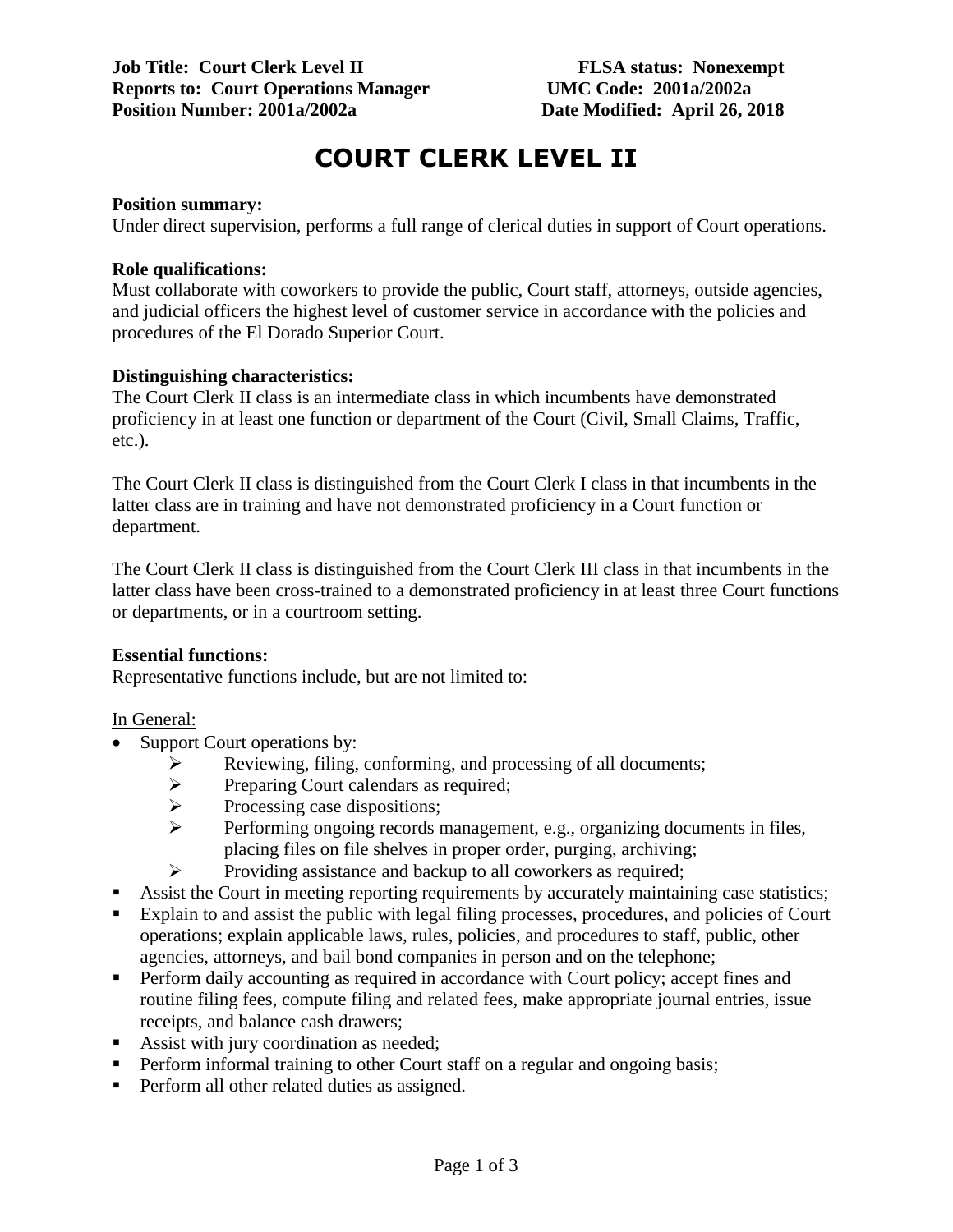# **COURT CLERK LEVEL II**

#### **Position summary:**

Under direct supervision, performs a full range of clerical duties in support of Court operations.

#### **Role qualifications:**

Must collaborate with coworkers to provide the public, Court staff, attorneys, outside agencies, and judicial officers the highest level of customer service in accordance with the policies and procedures of the El Dorado Superior Court.

#### **Distinguishing characteristics:**

The Court Clerk II class is an intermediate class in which incumbents have demonstrated proficiency in at least one function or department of the Court (Civil, Small Claims, Traffic, etc.).

The Court Clerk II class is distinguished from the Court Clerk I class in that incumbents in the latter class are in training and have not demonstrated proficiency in a Court function or department.

The Court Clerk II class is distinguished from the Court Clerk III class in that incumbents in the latter class have been cross-trained to a demonstrated proficiency in at least three Court functions or departments, or in a courtroom setting.

#### **Essential functions:**

Representative functions include, but are not limited to:

#### In General:

- Support Court operations by:
	- Reviewing, filing, conforming, and processing of all documents;<br>
	Preparing Court calendars as required;
	- > Preparing Court calendars as required;<br>> Processing case dispositions;
	- $\triangleright$  Processing case dispositions;<br> $\triangleright$  Performing ongoing records r
	- Performing ongoing records management, e.g., organizing documents in files, placing files on file shelves in proper order, purging, archiving;
	- $\triangleright$  Providing assistance and backup to all coworkers as required;
- Assist the Court in meeting reporting requirements by accurately maintaining case statistics;
- Explain to and assist the public with legal filing processes, procedures, and policies of Court operations; explain applicable laws, rules, policies, and procedures to staff, public, other agencies, attorneys, and bail bond companies in person and on the telephone;
- Perform daily accounting as required in accordance with Court policy; accept fines and routine filing fees, compute filing and related fees, make appropriate journal entries, issue receipts, and balance cash drawers;
- Assist with jury coordination as needed;
- **Perform informal training to other Court staff on a regular and ongoing basis;**
- **Perform all other related duties as assigned.**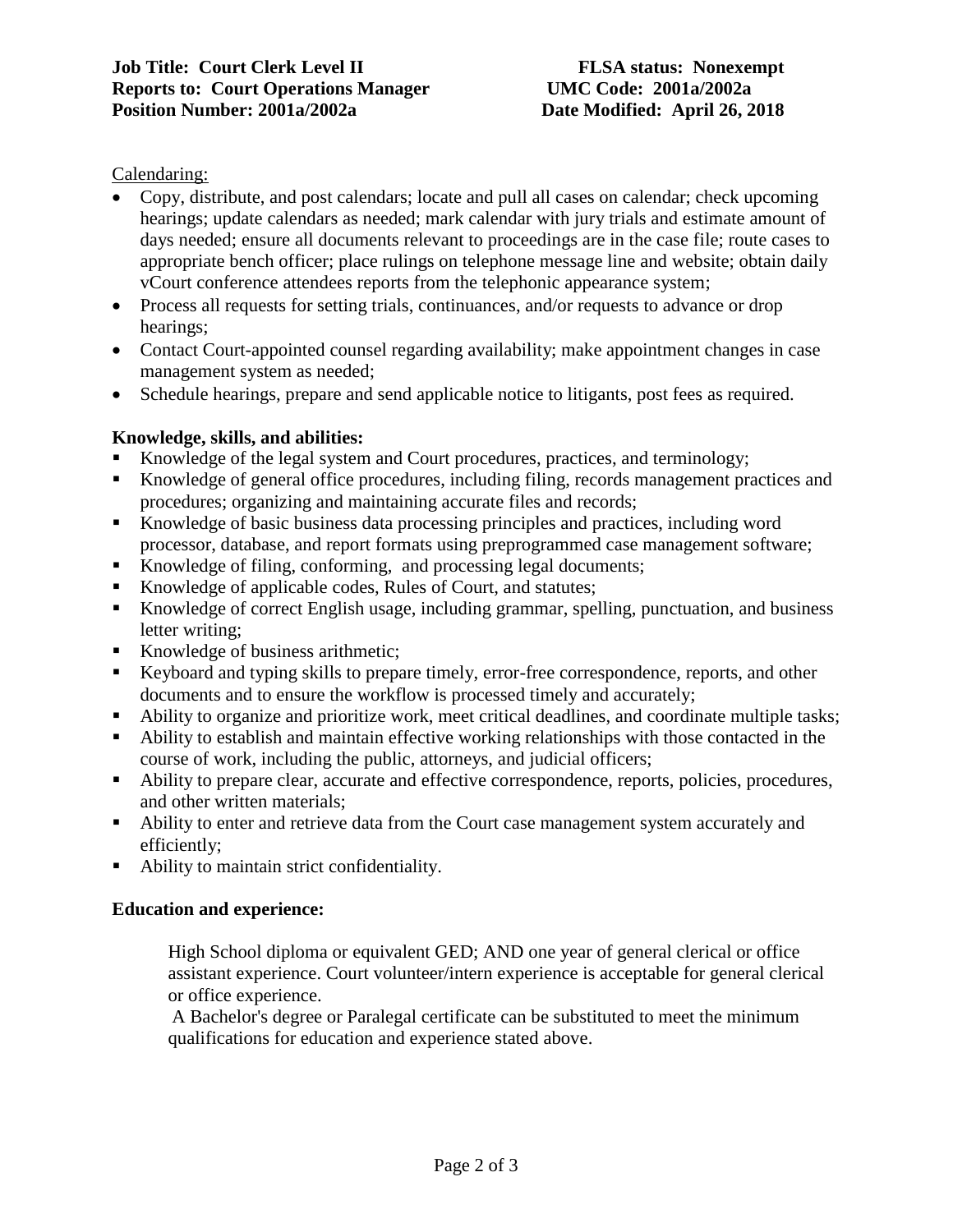## Calendaring:

- Copy, distribute, and post calendars; locate and pull all cases on calendar; check upcoming hearings; update calendars as needed; mark calendar with jury trials and estimate amount of days needed; ensure all documents relevant to proceedings are in the case file; route cases to appropriate bench officer; place rulings on telephone message line and website; obtain daily vCourt conference attendees reports from the telephonic appearance system;
- Process all requests for setting trials, continuances, and/or requests to advance or drop hearings;
- Contact Court-appointed counsel regarding availability; make appointment changes in case management system as needed;
- Schedule hearings, prepare and send applicable notice to litigants, post fees as required.

# **Knowledge, skills, and abilities:**

- Knowledge of the legal system and Court procedures, practices, and terminology;
- Knowledge of general office procedures, including filing, records management practices and procedures; organizing and maintaining accurate files and records;
- Knowledge of basic business data processing principles and practices, including word processor, database, and report formats using preprogrammed case management software;
- Knowledge of filing, conforming, and processing legal documents;
- Knowledge of applicable codes, Rules of Court, and statutes;
- Knowledge of correct English usage, including grammar, spelling, punctuation, and business letter writing;
- Knowledge of business arithmetic;
- Keyboard and typing skills to prepare timely, error-free correspondence, reports, and other documents and to ensure the workflow is processed timely and accurately;
- Ability to organize and prioritize work, meet critical deadlines, and coordinate multiple tasks;
- Ability to establish and maintain effective working relationships with those contacted in the course of work, including the public, attorneys, and judicial officers;
- Ability to prepare clear, accurate and effective correspondence, reports, policies, procedures, and other written materials;
- Ability to enter and retrieve data from the Court case management system accurately and efficiently;
- Ability to maintain strict confidentiality.

# **Education and experience:**

High School diploma or equivalent GED; AND one year of general clerical or office assistant experience. Court volunteer/intern experience is acceptable for general clerical or office experience.

A Bachelor's degree or Paralegal certificate can be substituted to meet the minimum qualifications for education and experience stated above.